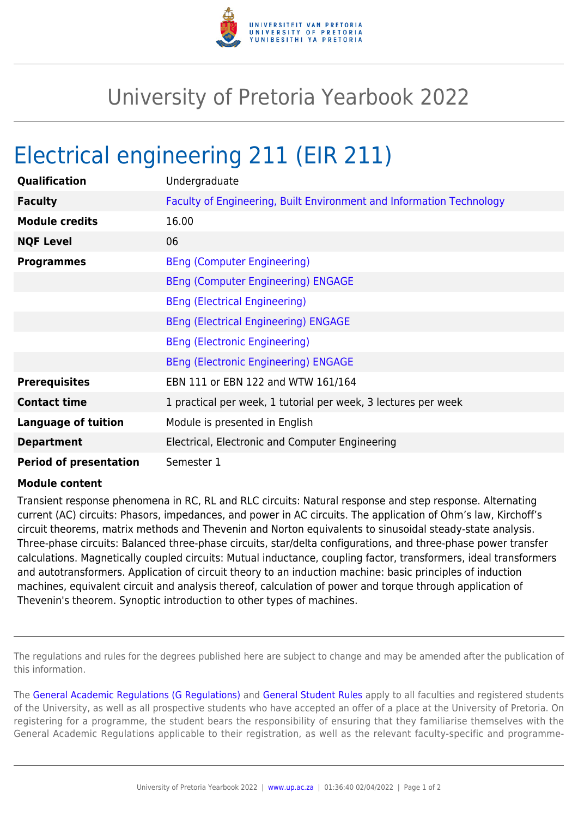

## University of Pretoria Yearbook 2022

## Electrical engineering 211 (EIR 211)

| Qualification                 | Undergraduate                                                        |
|-------------------------------|----------------------------------------------------------------------|
| <b>Faculty</b>                | Faculty of Engineering, Built Environment and Information Technology |
| <b>Module credits</b>         | 16.00                                                                |
| <b>NQF Level</b>              | 06                                                                   |
| <b>Programmes</b>             | <b>BEng (Computer Engineering)</b>                                   |
|                               | <b>BEng (Computer Engineering) ENGAGE</b>                            |
|                               | <b>BEng (Electrical Engineering)</b>                                 |
|                               | <b>BEng (Electrical Engineering) ENGAGE</b>                          |
|                               | <b>BEng (Electronic Engineering)</b>                                 |
|                               | <b>BEng (Electronic Engineering) ENGAGE</b>                          |
| <b>Prerequisites</b>          | EBN 111 or EBN 122 and WTW 161/164                                   |
| <b>Contact time</b>           | 1 practical per week, 1 tutorial per week, 3 lectures per week       |
| <b>Language of tuition</b>    | Module is presented in English                                       |
| <b>Department</b>             | Electrical, Electronic and Computer Engineering                      |
| <b>Period of presentation</b> | Semester 1                                                           |

## **Module content**

Transient response phenomena in RC, RL and RLC circuits: Natural response and step response. Alternating current (AC) circuits: Phasors, impedances, and power in AC circuits. The application of Ohm's law, Kirchoff's circuit theorems, matrix methods and Thevenin and Norton equivalents to sinusoidal steady-state analysis. Three-phase circuits: Balanced three-phase circuits, star/delta configurations, and three-phase power transfer calculations. Magnetically coupled circuits: Mutual inductance, coupling factor, transformers, ideal transformers and autotransformers. Application of circuit theory to an induction machine: basic principles of induction machines, equivalent circuit and analysis thereof, calculation of power and torque through application of Thevenin's theorem. Synoptic introduction to other types of machines.

The regulations and rules for the degrees published here are subject to change and may be amended after the publication of this information.

The [General Academic Regulations \(G Regulations\)](https://www.up.ac.za/yearbooks/2022/rules/view/REG) and [General Student Rules](https://www.up.ac.za/yearbooks/2022/rules/view/RUL) apply to all faculties and registered students of the University, as well as all prospective students who have accepted an offer of a place at the University of Pretoria. On registering for a programme, the student bears the responsibility of ensuring that they familiarise themselves with the General Academic Regulations applicable to their registration, as well as the relevant faculty-specific and programme-